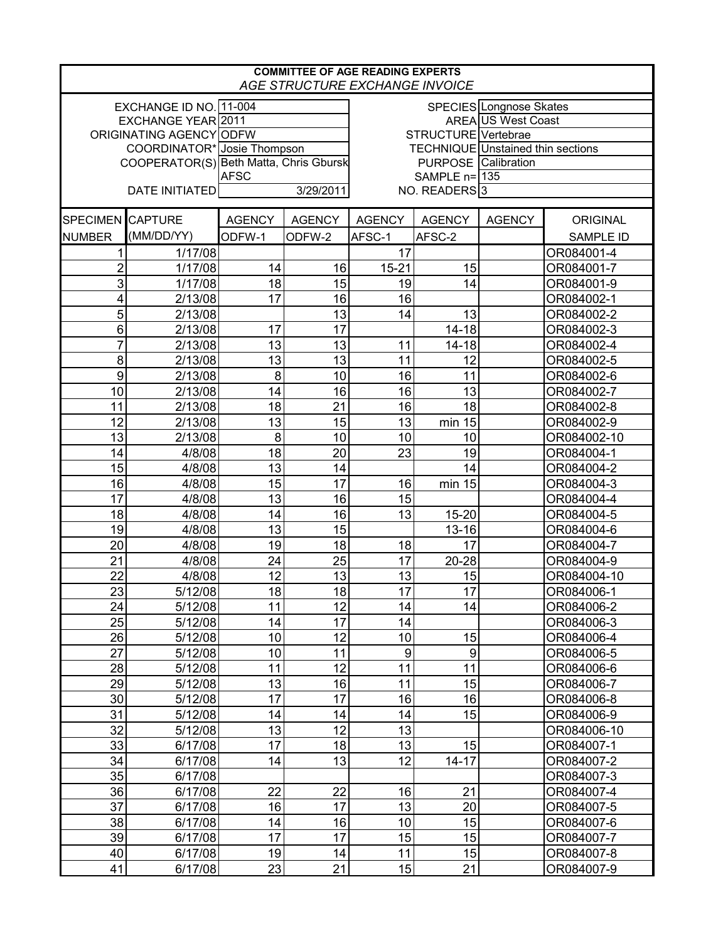| <b>COMMITTEE OF AGE READING EXPERTS</b><br>AGE STRUCTURE EXCHANGE INVOICE |                             |                                        |               |                            |                     |                                   |                  |  |
|---------------------------------------------------------------------------|-----------------------------|----------------------------------------|---------------|----------------------------|---------------------|-----------------------------------|------------------|--|
| EXCHANGE ID NO. 11-004<br>SPECIES Longnose Skates                         |                             |                                        |               |                            |                     |                                   |                  |  |
| EXCHANGE YEAR 2011                                                        |                             |                                        |               |                            |                     | <b>AREA US West Coast</b>         |                  |  |
| ORIGINATING AGENCY ODFW                                                   |                             |                                        |               |                            | STRUCTURE Vertebrae |                                   |                  |  |
|                                                                           | COORDINATOR* Josie Thompson |                                        |               |                            |                     | TECHNIQUE Unstained thin sections |                  |  |
|                                                                           |                             | COOPERATOR(S) Beth Matta, Chris Gbursk |               | <b>PURPOSE</b> Calibration |                     |                                   |                  |  |
|                                                                           |                             | <b>AFSC</b>                            |               | SAMPLE n= 135              |                     |                                   |                  |  |
| <b>DATE INITIATED</b>                                                     |                             | 3/29/2011                              |               | NO. READERS <sup>3</sup>   |                     |                                   |                  |  |
| SPECIMEN CAPTURE                                                          |                             | <b>AGENCY</b>                          | <b>AGENCY</b> | <b>AGENCY</b>              | <b>AGENCY</b>       | <b>AGENCY</b>                     | <b>ORIGINAL</b>  |  |
| <b>NUMBER</b>                                                             | (MM/DD/YY)                  | ODFW-1                                 | ODFW-2        | AFSC-1                     | AFSC-2              |                                   | <b>SAMPLE ID</b> |  |
| 1                                                                         | 1/17/08                     |                                        |               | 17                         |                     |                                   | OR084001-4       |  |
| $\overline{2}$                                                            | 1/17/08                     | 14                                     | 16            | $15 - 21$                  | 15                  |                                   | OR084001-7       |  |
| 3                                                                         | 1/17/08                     | 18                                     | 15            | 19                         | 14                  |                                   | OR084001-9       |  |
| 4                                                                         | 2/13/08                     | 17                                     | 16            | 16                         |                     |                                   | OR084002-1       |  |
| 5                                                                         | 2/13/08                     |                                        | 13            | 14                         | 13                  |                                   | OR084002-2       |  |
| 6                                                                         | 2/13/08                     | 17                                     | 17            |                            | $14 - 18$           |                                   | OR084002-3       |  |
| 7                                                                         | 2/13/08                     | 13                                     | 13            | 11                         | $14 - 18$           |                                   | OR084002-4       |  |
| 8                                                                         | 2/13/08                     | 13                                     | 13            | 11                         | 12                  |                                   | OR084002-5       |  |
| 9                                                                         | 2/13/08                     | 8                                      | 10            | 16                         | 11                  |                                   | OR084002-6       |  |
| 10                                                                        | 2/13/08                     | 14                                     | 16            | 16                         | 13                  |                                   | OR084002-7       |  |
| 11                                                                        | 2/13/08                     | 18                                     | 21            | 16                         | 18                  |                                   | OR084002-8       |  |
| 12                                                                        | 2/13/08                     | 13                                     | 15            | 13                         | min 15              |                                   | OR084002-9       |  |
| 13                                                                        | 2/13/08                     | 8                                      | 10            | 10                         | 10                  |                                   | OR084002-10      |  |
| 14                                                                        | 4/8/08                      | 18                                     | 20            | 23                         | 19                  |                                   | OR084004-1       |  |
| 15                                                                        | 4/8/08                      | 13                                     | 14            |                            | 14                  |                                   | OR084004-2       |  |
| 16                                                                        | 4/8/08                      | 15                                     | 17            | 16                         | min 15              |                                   | OR084004-3       |  |
| 17                                                                        | 4/8/08                      | 13                                     | 16            | 15                         |                     |                                   | OR084004-4       |  |
| 18                                                                        | 4/8/08                      | 14                                     | 16            | 13                         | 15-20               |                                   | OR084004-5       |  |
| 19                                                                        | 4/8/08                      | 13                                     | 15            |                            | $13 - 16$           |                                   | OR084004-6       |  |
| 20                                                                        | 4/8/08                      | 19                                     | 18            | 18                         | 17                  |                                   | OR084004-7       |  |
| 21                                                                        | 4/8/08                      | 24                                     | 25            | 17                         | 20-28               |                                   | OR084004-9       |  |
| 22                                                                        | 4/8/08                      | 12                                     | 13            | 13                         | 15                  |                                   | OR084004-10      |  |
| 23                                                                        | 5/12/08                     | 18                                     | 18            | 17                         | 17                  |                                   | OR084006-1       |  |
| 24                                                                        | 5/12/08                     | 11                                     | 12            | 14                         | 14                  |                                   | OR084006-2       |  |
| 25                                                                        | 5/12/08                     | 14                                     | 17            | 14                         |                     |                                   | OR084006-3       |  |
| 26                                                                        | 5/12/08                     | 10                                     | 12            | 10                         | 15                  |                                   | OR084006-4       |  |
| 27                                                                        | 5/12/08                     | 10                                     | 11            | 9                          | 9                   |                                   | OR084006-5       |  |
| 28                                                                        | 5/12/08                     | 11                                     | 12            | 11                         | 11                  |                                   | OR084006-6       |  |
| 29                                                                        | 5/12/08                     | 13                                     | 16            | 11                         | 15                  |                                   | OR084006-7       |  |
| 30                                                                        | 5/12/08                     | 17                                     | 17            | 16                         | 16                  |                                   | OR084006-8       |  |
| 31                                                                        | 5/12/08                     | 14                                     | 14            | 14                         | 15                  |                                   | OR084006-9       |  |
| 32                                                                        | 5/12/08                     | 13                                     | 12            | 13                         |                     |                                   | OR084006-10      |  |
| 33                                                                        | 6/17/08                     | 17                                     | 18            | 13                         | 15                  |                                   | OR084007-1       |  |
| 34                                                                        | 6/17/08                     | 14                                     | 13            | 12                         | $14 - 17$           |                                   | OR084007-2       |  |
| 35                                                                        | 6/17/08                     |                                        |               |                            |                     |                                   | OR084007-3       |  |
| 36                                                                        | 6/17/08                     | 22                                     | 22            | 16                         | 21                  |                                   | OR084007-4       |  |
| 37                                                                        | 6/17/08                     | 16                                     | 17            | 13                         | 20                  |                                   | OR084007-5       |  |
| 38                                                                        | 6/17/08                     | 14                                     | 16            | 10                         | 15                  |                                   | OR084007-6       |  |
| 39                                                                        | 6/17/08                     | 17                                     | 17            | 15                         | 15                  |                                   | OR084007-7       |  |
| 40                                                                        | 6/17/08                     | 19                                     | 14            | 11                         | 15                  |                                   | OR084007-8       |  |
| 41                                                                        | 6/17/08                     | 23                                     | 21            | 15                         | 21                  |                                   | OR084007-9       |  |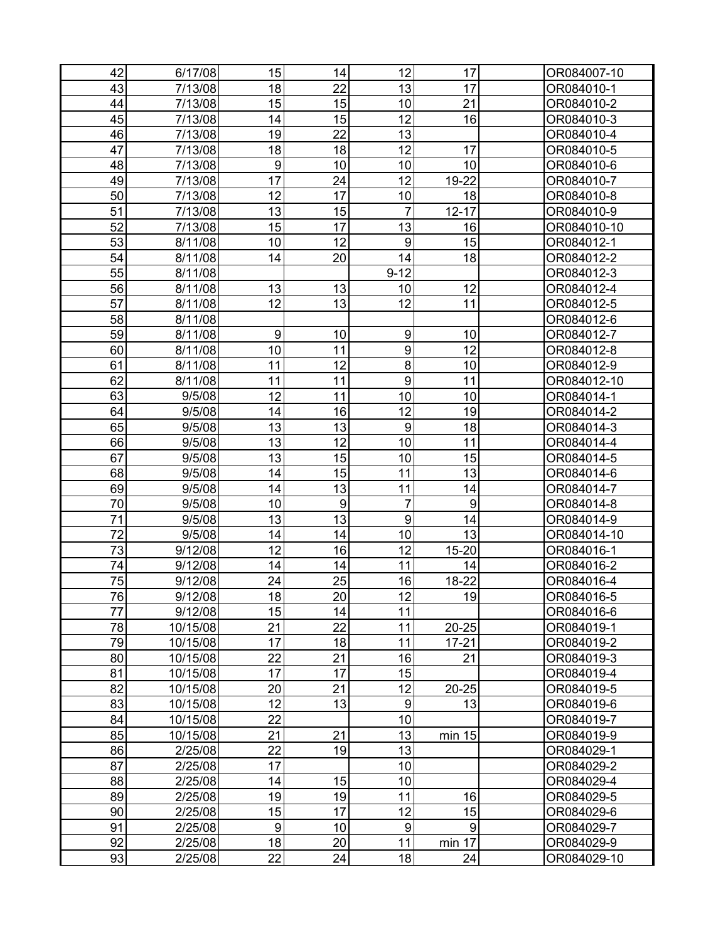| 22<br>17<br>18<br>13<br>43<br>7/13/08<br>OR084010-1<br>15<br>15<br>10<br>21<br>44<br>7/13/08<br>OR084010-2<br>15<br>45<br>14<br>12<br>16<br>7/13/08<br>OR084010-3 |  |
|-------------------------------------------------------------------------------------------------------------------------------------------------------------------|--|
|                                                                                                                                                                   |  |
|                                                                                                                                                                   |  |
|                                                                                                                                                                   |  |
| 19<br>22<br>13<br>46<br>7/13/08<br>OR084010-4                                                                                                                     |  |
| 47<br>18<br>12<br>7/13/08<br>18<br>17<br>OR084010-5                                                                                                               |  |
| 10<br>48<br>9<br>10<br>10<br>7/13/08<br>OR084010-6                                                                                                                |  |
| 49<br>17<br>24<br>12<br>19-22<br>7/13/08<br>OR084010-7                                                                                                            |  |
| 12<br>17<br>50<br>10<br>18<br>7/13/08<br>OR084010-8                                                                                                               |  |
| 51<br>13<br>15<br>$\overline{7}$<br>$12 - 17$<br>7/13/08<br>OR084010-9                                                                                            |  |
| 52<br>15<br>17<br>13<br>7/13/08<br>16<br>OR084010-10                                                                                                              |  |
| 53<br>12<br>9<br>10<br>15<br>8/11/08<br>OR084012-1                                                                                                                |  |
| 54<br>14<br>20<br>14<br>18<br>8/11/08<br>OR084012-2                                                                                                               |  |
| 55<br>$9 - 12$<br>8/11/08<br>OR084012-3                                                                                                                           |  |
| 56<br>13<br>13<br>10<br>12<br>8/11/08<br>OR084012-4                                                                                                               |  |
| 57<br>12<br>13<br>12<br>11<br>8/11/08<br>OR084012-5                                                                                                               |  |
| 58<br>8/11/08<br>OR084012-6                                                                                                                                       |  |
| 9<br>$\boldsymbol{9}$<br>59<br>8/11/08<br>10<br>10<br>OR084012-7                                                                                                  |  |
| 9<br>10<br>11<br>12<br>60<br>8/11/08<br>OR084012-8                                                                                                                |  |
| 8<br>61<br>12<br>8/11/08<br>11<br>10<br>OR084012-9                                                                                                                |  |
| $\overline{9}$<br>62<br>11<br>11<br>11<br>8/11/08<br>OR084012-10                                                                                                  |  |
| 12<br>10<br>63<br>9/5/08<br>11<br>10<br>OR084014-1                                                                                                                |  |
| 12<br>19<br>64<br>9/5/08<br>14<br>16<br>OR084014-2                                                                                                                |  |
| 13<br>9<br>65<br>13<br>18<br>9/5/08<br>OR084014-3                                                                                                                 |  |
| 66<br>13<br>12<br>10<br>11<br>9/5/08<br>OR084014-4                                                                                                                |  |
| 67<br>13<br>15<br>10<br>15<br>9/5/08<br>OR084014-5                                                                                                                |  |
| 15<br>13<br>68<br>11<br>9/5/08<br>14<br>OR084014-6                                                                                                                |  |
| 13<br>69<br>9/5/08<br>14<br>11<br>14<br>OR084014-7                                                                                                                |  |
| $\boldsymbol{9}$<br>70<br>$\boldsymbol{9}$<br>$\overline{7}$<br>9/5/08<br>10<br>OR084014-8                                                                        |  |
| 13<br>9<br>71<br>13<br>9/5/08<br>14<br>OR084014-9                                                                                                                 |  |
| 10<br>13<br>72<br>14<br>14<br>9/5/08<br>OR084014-10                                                                                                               |  |
| 73<br>12<br>16<br>12<br>$15 - 20$<br>9/12/08<br>OR084016-1                                                                                                        |  |
| 11<br>74<br>9/12/08<br>14<br>14<br>14<br>OR084016-2                                                                                                               |  |
| 25<br>75<br>24<br>16<br>18-22<br>OR084016-4<br>9/12/08                                                                                                            |  |
| 76<br>18<br>20<br>12<br>9/12/08<br>19<br>OR084016-5                                                                                                               |  |
| 77<br>15<br>9/12/08<br>14<br>11<br>OR084016-6                                                                                                                     |  |
| 78<br>21<br>22<br>11<br>$20 - 25$<br>10/15/08<br>OR084019-1                                                                                                       |  |
| 79<br>17<br>18<br>11<br>10/15/08<br>$17 - 21$<br>OR084019-2                                                                                                       |  |
| 22<br>21<br>80<br>10/15/08<br>16<br>21<br>OR084019-3                                                                                                              |  |
| 17<br>17<br>15<br>81<br>10/15/08<br>OR084019-4                                                                                                                    |  |
| 82<br>20<br>21<br>12<br>10/15/08<br>20-25<br>OR084019-5                                                                                                           |  |
| 12<br>83<br>13<br>$\boldsymbol{9}$<br>13<br>10/15/08<br>OR084019-6                                                                                                |  |
| 22<br>10<br>84<br>10/15/08<br>OR084019-7                                                                                                                          |  |
| 85<br>21<br>21<br>13<br>10/15/08<br>min 15<br>OR084019-9                                                                                                          |  |
| 86<br>22<br>19<br>13<br>2/25/08<br>OR084029-1                                                                                                                     |  |
| 17<br>87<br>10<br>2/25/08<br>OR084029-2                                                                                                                           |  |
| 15<br>88<br>2/25/08<br>14<br>10<br>OR084029-4                                                                                                                     |  |
| 19<br>19<br>16<br>89<br>2/25/08<br>11<br>OR084029-5                                                                                                               |  |
| 17<br>15<br>12<br>15<br>90<br>2/25/08<br>OR084029-6                                                                                                               |  |
| 91<br>$\boldsymbol{9}$<br>10<br>$\boldsymbol{9}$<br>9<br>2/25/08<br>OR084029-7                                                                                    |  |
| 18<br>20<br>11<br>min 17<br>92<br>2/25/08<br>OR084029-9                                                                                                           |  |
| 22<br>93<br>24<br>18<br>24<br>2/25/08<br>OR084029-10                                                                                                              |  |